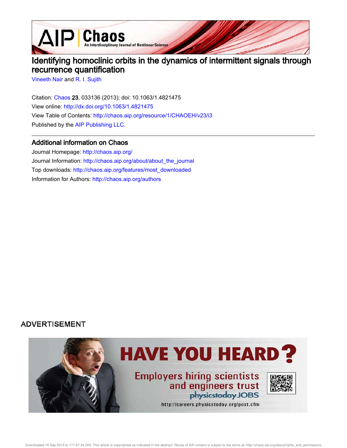Identifying homoclinic orbits in the dynamics of intermittent signals through recurrence quantification

Vineeth Nair and R. I. Sujith

Citation: Chaos 23, 033136 (2013); doi: 10.1063/1.4821475 View online: http://dx.doi.org/10.1063/1.4821475 View Table of Contents: http://chaos.aip.org/resource/1/CHAOEH/v23/i3 Published by the AIP Publishing LLC.

AIP Chaos

## Additional information on Chaos

Journal Homepage: http://chaos.aip.org/ Journal Information: http://chaos.aip.org/about/about\_the\_journal Top downloads: http://chaos.aip.org/features/most\_downloaded Information for Authors: http://chaos.aip.org/authors

# **ADVERTISEMENT**

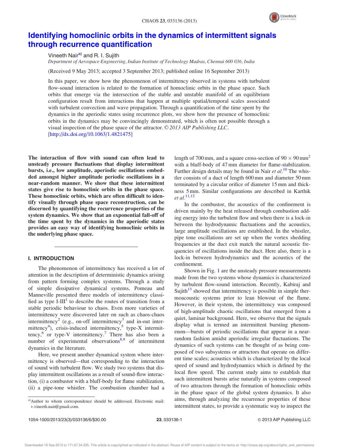

# Identifying homoclinic orbits in the dynamics of intermittent signals through recurrence quantification

Vineeth Nair<sup>a)</sup> and R. I. Sujith

Department of Aerospace Engineering, Indian Institute of Technology Madras, Chennai 600 036, India

(Received 9 May 2013; accepted 3 September 2013; published online 16 September 2013)

In this paper, we show how the phenomenon of intermittency observed in systems with turbulent flow-sound interaction is related to the formation of homoclinic orbits in the phase space. Such orbits that emerge via the intersection of the stable and unstable manifold of an equilibrium configuration result from interactions that happen at multiple spatial/temporal scales associated with turbulent convection and wave propagation. Through a quantification of the time spent by the dynamics in the aperiodic states using recurrence plots, we show how the presence of homoclinic orbits in the dynamics may be convincingly demonstrated, which is often not possible through a visual inspection of the phase space of the attractor.  $\odot$  2013 AIP Publishing LLC. [http://dx.doi.org/10.1063/1.4821475]

The interaction of flow with sound can often lead to unsteady pressure fluctuations that display intermittent bursts, i.e., low amplitude, aperiodic oscillations embedded amongst higher amplitude periodic oscillations in a near-random manner. We show that these intermittent states give rise to homoclinic orbits in the phase space. These homoclinic orbits, which are often difficult to identify visually through phase space reconstruction, can be discerned by quantifying the recurrence properties of the system dynamics. We show that an exponential fall-off of the time spent by the dynamics in the aperiodic states provides an easy way of identifying homoclinic orbits in the underlying phase space.

### I. INTRODUCTION

The phenomenon of intermittency has received a lot of attention in the description of deterministic dynamics arising from pattern forming complex systems. Through a study of simple dissipative dynamical systems, Pomeau and Manneville presented three models of intermittency classified as type  $I$ - $III<sup>1</sup>$  to describe the routes of transition from a stable periodic behaviour to chaos. Even more varieties of intermittency were discovered later on such as chaos-chaos intermittency<sup>2</sup> (e.g., on-off intermittency<sup>3</sup> and in-out intermittency<sup>4</sup>), crisis-induced intermittency,<sup>5</sup> type-X intermittency,  $6$  or type-V intermittency.<sup>7</sup> There has also been a number of experimental observations<sup>8,9</sup> of intermittent dynamics in the literature.

Here, we present another dynamical system where intermittency is observed—that corresponding to the interaction of sound with turbulent flow. We study two systems that display intermittent oscillations as a result of sound-flow interaction, (i) a combustor with a bluff-body for flame stabilization, (ii) a pipe-tone whistler. The combustion chamber had a

length of 700 mm, and a square cross-section of  $90 \times 90$  mm<sup>2</sup> with a bluff-body of 47 mm diameter for flame-stabilization. Further design details may be found in Nair et  $al$ .<sup>10</sup> The whistler consists of a duct of length 600 mm and diameter 50 mm terminated by a circular orifice of diameter 15 mm and thickness 5 mm. Similar configurations are described in Karthik  $et \ al.<sup>11,12</sup>$ 

In the combustor, the acoustics of the confinement is driven mainly by the heat released through combustion adding energy into the turbulent flow and when there is a lock-in between the hydrodynamic fluctuations and the acoustics, large amplitude oscillations are established. In the whistler, pipe tone oscillations are set up when the vortex shedding frequencies at the duct exit match the natural acoustic frequencies of oscillations inside the duct. Here also, there is a lock-in between hydrodynamics and the acoustics of the confinement.

Shown in Fig. 1 are the unsteady pressure measurements made from the two systems whose dynamics is characterized by turbulent flow-sound interaction. Recently, Kabiraj and Sujith $13$  showed that intermittency is possible in simple thermoacoustic systems prior to lean blowout of the flame. However, in their system, the intermittency was composed of high-amplitude chaotic oscillations that emerged from a quiet, laminar background. Here, we observe that the signals display what is termed an intermittent bursting phenomenon—bursts of periodic oscillations that appear in a nearrandom fashion amidst aperiodic irregular fluctuations. The dynamics of such systems can be thought of as being composed of two subsystems or attractors that operate on different time scales; acoustics which is characterized by the local speed of sound and hydrodynamics which is defined by the local flow speed. The current study aims to establish that such intermittent bursts arise naturally in systems composed of two attractors through the formation of homoclinic orbits in the phase space of the global system dynamics. It also aims, through analyzing the recurrence properties of these intermittent states, to provide a systematic way to inspect the

a)Author to whom correspondence should be addressed. Electronic mail: v.vineeth.nair@gmail.com.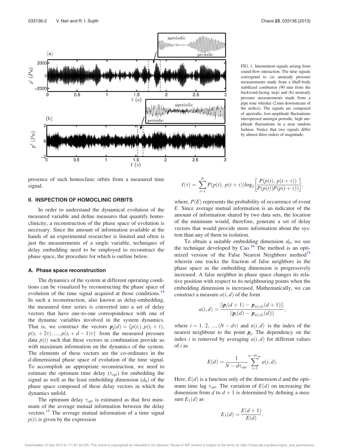

FIG. 1. Intermittent signals arising from sound-flow interaction. The time signals correspond to (a) unsteady pressure measurements made from a bluff-body stabilized combustor (90 mm from the backward-facing step) and (b) unsteady pressure measurements made from a pipe tone whistler (2 mm downstream of the orifice). The signals are composed of aperiodic, low-amplitude fluctuations interspersed amongst periodic, high amplitude fluctuations in a near random fashion. Notice that two signals differ by almost three orders of magnitude.

presence of such homoclinic orbits from a measured time signal.

#### II. INSPECTION OF HOMOCLINIC ORBITS

In order to understand the dynamical evolution of the measured variable and define measures that quantify homoclinicity, a reconstruction of the phase space of evolution is necessary. Since the amount of information available at the hands of an experimental researcher is limited and often is just the measurements of a single variable, techniques of delay embedding need to be employed to reconstruct the phase space, the procedure for which is outline below.

#### A. Phase space reconstruction

The dynamics of the system at different operating conditions can be visualized by reconstructing the phase space of evolution of the time signal acquired at those conditions.<sup>14</sup> In such a reconstruction, also known as delay-embedding, the measured time series is converted into a set of delay vectors that have one-to-one correspondence with one of the dynamic variables involved in the system dynamics. That is, we construct the vectors  $p_i(d) = \{p(t_i), p(t_i + \tau),\}$  $p(t_i + 2\tau), ..., p(t_i + d - 1)\tau$  from the measured pressure data  $p(t)$  such that these vectors in combination provide us with maximum information on the dynamics of the system. The elements of these vectors are the co-ordinates in the d-dimensional phase space of evolution of the time signal. To accomplish an appropriate reconstruction, we need to estimate the optimum time delay ( $\tau_{opt}$ ) for embedding the signal as well as the least embedding dimension  $(d_0)$  of the phase space composed of these delay vectors in which the dynamics unfold.

The optimum delay  $\tau_{opt}$  is estimated as that first minimum of the average mutual information between the delay vectors.<sup>15</sup> The average mutual information of a time signal  $p(t)$  is given by the expression

$$
I(\tau) = \sum_{t=1}^N P(p(t), p(t+\tau)) \log_2 \left[ \frac{P(p(t), p(t+\tau))}{P(p(t))P(p(t+\tau))} \right],
$$

where,  $P(E)$  represents the probability of occurrence of event E: Since average mutual information is an indicator of the amount of information shared by two data sets, the location of the minimum would, therefore, generate a set of delay vectors that would provide more information about the system than any of them in isolation.

To obtain a suitable embedding dimension  $d_0$ , we use the technique developed by Cao.<sup>16</sup> The method is an optimized version of the False Nearest Neighbors method<sup>15</sup> wherein one tracks the fraction of false neighbors in the phase space as the embedding dimension is progressively increased. A false neighbor in phase space changes its relative position with respect to its neighbouring points when the embedding dimension is increased. Mathematically, we can construct a measure  $a(i, d)$  of the form

$$
a(i,d) = \frac{||\mathbf{p}_i(d+1) - \mathbf{p}_{n(i,d)}(d+1)||}{||\mathbf{p}_i(d) - \mathbf{p}_{n(i,d)}(d)||},
$$

where  $i = 1, 2, ..., (N - d\tau)$  and  $n(i, d)$  is the index of the nearest neighbour to the point  $p_i$ . The dependency on the index *i* is removed by averaging  $a(i, d)$  for different values of i as

$$
E(d) = \frac{1}{N - d\tau_{opt}} \sum_{i=1}^{n - d\tau_{opt}} a(i, d).
$$

Here,  $E(d)$  is a function only of the dimension d and the optimum time lag  $\tau_{opt}$ . The variation of  $E(d)$  on increasing the dimension from d to  $d + 1$  is determined by defining a measure  $E_1(d)$  as

$$
E_1(d) = \frac{E(d+1)}{E(d)}.
$$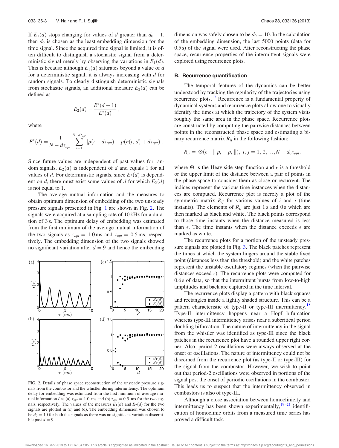If  $E_1(d)$  stops changing for values of d greater than  $d_0 - 1$ , then  $d_0$  is chosen as the least embedding dimension for the time signal. Since the acquired time signal is limited, it is often difficult to distinguish a stochastic signal from a deterministic signal merely by observing the variations in  $E_1(d)$ . This is because although  $E_1(d)$  saturates beyond a value of d for a deterministic signal, it is always increasing with  $d$  for random signals. To clearly distinguish deterministic signals from stochastic signals, an additional measure  $E_2(d)$  can be defined as

$$
E_2(d) = \frac{E^*(d+1)}{E^*(d)},
$$

where

$$
E^*(d) = \frac{1}{N - d\tau_{opt}} \sum_{i=1}^{N - d\tau_{opt}} |p(i + d\tau_{opt}) - p(n(i, d) + d\tau_{opt})|.
$$

Since future values are independent of past values for random signals,  $E_2(d)$  is independent of d and equals 1 for all values of d. For deterministic signals, since  $E_2(d)$  is dependent on d, there must exist some values of d for which  $E_2(d)$ is not equal to 1.

The average mutual information and the measures to obtain optimum dimension of embedding of the two unsteady pressure signals presented in Fig. 1 are shown in Fig. 2. The signals were acquired at a sampling rate of 10 kHz for a duration of 3 s. The optimum delay of embedding was estimated from the first minimum of the average mutual information of the two signals as  $\tau_{opt} = 1.0 \,\text{ms}$  and  $\tau_{opt} = 0.5 \,\text{ms}$ , respectively. The embedding dimension of the two signals showed no significant variation after  $d = 9$  and hence the embedding



FIG. 2. Details of phase space reconstruction of the unsteady pressure signals from the combustor and the whistler during intermittency. The optimum delay for embedding was estimated from the first minimum of average mutual information I as (a)  $\tau_{opt} = 1.0$  ms and (b)  $\tau_{opt} = 0.5$  ms for the two signals, respectively. The values of the measures  $E_1(d)$  and  $E_2(d)$  for the two signals are plotted in (c) and (d). The embedding dimension was chosen to be  $d_0 = 10$  for both the signals as there was no significant variation discernible past  $d = 9$ .

dimension was safely chosen to be  $d_0 = 10$ . In the calculation of the embedding dimension, the last 5000 points (data for 0.5 s) of the signal were used. After reconstructing the phase space, recurrence properties of the intermittent signals were explored using recurrence plots.

#### B. Recurrence quantification

The temporal features of the dynamics can be better understood by tracking the regularity of the trajectories using recurrence plots.<sup>17</sup> Recurrence is a fundamental property of dynamical systems and recurrence plots allow one to visually identify the times at which the trajectory of the system visits roughly the same area in the phase space. Recurrence plots are constructed by computing the pairwise distances between points in the reconstructed phase space and estimating a binary recurrence matrix  $R_{ij}$  in the following fashion:

$$
R_{ij} = \Theta(\epsilon - || p_i - p_j ||), i, j = 1, 2, ..., N - d_0 \tau_{opt},
$$

where  $\Theta$  is the Heaviside step function and  $\epsilon$  is a threshold or the upper limit of the distance between a pair of points in the phase space to consider them as close or recurrent. The indices represent the various time instances when the distances are computed. Recurrence plot is merely a plot of the symmetric matrix  $R_{ij}$  for various values of i and j (time instants). The elements of  $R_{ij}$  are just 1 s and 0 s which are then marked as black and white. The black points correspond to those time instants when the distance measured is less than  $\epsilon$ . The time instants when the distance exceeds  $\epsilon$  are marked as white.

The recurrence plots for a portion of the unsteady pressure signals are plotted in Fig. 3. The black patches represent the times at which the system lingers around the stable fixed point (distances less than the threshold) and the white patches represent the unstable oscillatory regimes (when the pairwise distances exceed  $\epsilon$ ). The recurrence plots were computed for 0.6 s of data, so that the intermittent bursts from low-to-high amplitudes and back are captured in the time interval.

The recurrence plots display a pattern with black squares and rectangles inside a lightly shaded structure. This can be a pattern characteristic of type-II or type-III intermittency.<sup>18</sup> Type-II intermittency happens near a Hopf bifurcation whereas type-III intermittency arises near a subcritical period doubling bifurcation. The nature of intermittency in the signal from the whistler was identified as type-III since the black patches in the recurrence plot have a rounded upper right corner. Also, period-2 oscillations were always observed at the onset of oscillations. The nature of intermittency could not be discerned from the recurrence plot (as type-II or type-III) for the signal from the combustor. However, we wish to point out that period-2 oscillations were observed in portions of the signal post the onset of periodic oscillations in the combustor. This leads us to suspect that the intermittency observed in combustors is also of type-III.

Although a close association between homoclinicity and intermittency has been shown experimentally,  $19-21$  identification of homoclinic orbits from a measured time series has proved a difficult task.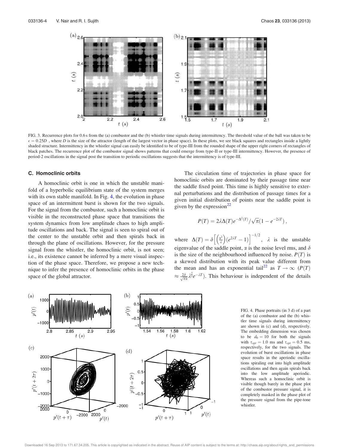

FIG. 3. Recurrence plots for 0.6 s from the (a) combustor and the (b) whistler time signals during intermittency. The threshold value of the ball was taken to be  $\epsilon = 0.25D$ , where D is the size of the attractor (length of the largest vector in phase space). In these plots, we see black squares and rectangles inside a lightly shaded structure. Intermittency in the whistler signal can easily be identified to be of type-III from the rounded shape of the upper right corners of rectangles of black patches. The recurrence plot of the combustor signal shows patterns that could emerge from type-II or type-III intermittency. However, the presence of period-2 oscillations in the signal post the transition to periodic oscillations suggests that the intermittency is of type-III.

#### C. Homoclinic orbits

A homoclinic orbit is one in which the unstable manifold of a hyperbolic equilibrium state of the system merges with its own stable manifold. In Fig. 4, the evolution in phase space of an intermittent burst is shown for the two signals. For the signal from the combustor, such a homoclinic orbit is visible in the reconstructed phase space that transitions the system dynamics from low amplitude chaos to high amplitude oscillations and back. The signal is seen to spiral out of the center to the unstable orbit and then spirals back in through the plane of oscillations. However, for the pressure signal from the whistler, the homoclinic orbit, is not seen; i.e., its existence cannot be inferred by a mere visual inspection of the phase space. Therefore, we propose a new technique to infer the presence of homoclinic orbits in the phase space of the global attractor.

The circulation time of trajectories in phase space for homoclinic orbits are dominated by their passage time near the saddle fixed point. This time is highly sensitive to external perturbations and the distribution of passage times for a given initial distribution of points near the saddle point is given by the expression $^{22}$ 

$$
P(T) = 2\lambda \Delta(T) e^{-\Delta^2(T)} / \sqrt{\pi} (1 - e^{-2\lambda T}),
$$

where  $\Delta(T) = \delta \left[ \left( \frac{\alpha^2}{\lambda} \right) (e^{2\lambda T} - 1) \right]^{-1/2}$ ,  $\lambda$  is the unstable eigenvalue of the saddle point,  $\alpha$  is the noise level rms, and  $\delta$ is the size of the neighbourhood influenced by noise.  $P(T)$  is a skewed distribution with its peak value different from the mean and has an exponential tail<sup>22</sup> as  $T \to \infty$  (P(T)  $\approx \frac{2\delta}{\sqrt{\pi \alpha}} \lambda^{\frac{3}{2}} e^{-\lambda T}$ ). This behaviour is independent of the details



FIG. 4. Phase portraits (in 3 d) of a part of the (a) combustor and the (b) whistler time signals during intermittency are shown in (c) and (d), respectively. The embedding dimension was chosen to be  $d_0 = 10$  for both the signals with  $\tau_{opt} = 1.0$  ms and  $\tau_{opt} = 0.5$  ms, respectively, for the two signals. The evolution of burst oscillations in phase space results in the aperiodic oscillations spiraling out into high amplitude oscillations and then again spirals back into the low amplitude aperiodic. Whereas such a homoclinic orbit is visible though barely in the phase plot of the combustor pressure signal, it is completely masked in the phase plot of the pressure signal from the pipe-tone whistler.

Downloaded 16 Sep 2013 to 171.67.34.205. This article is copyrighted as indicated in the abstract. Reuse of AIP content is subject to the terms at: http://chaos.aip.org/about/rights\_and\_permissions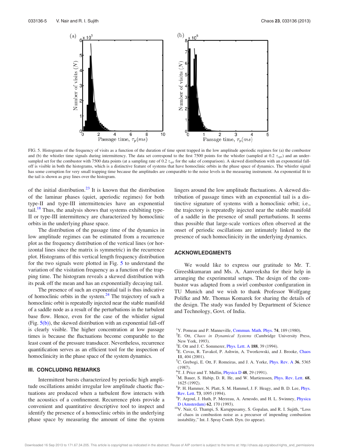

FIG. 5. Histograms of the frequency of visits as a function of the duration of time spent trapped in the low amplitude aperiodic regimes for (a) the combustor and (b) the whistler time signals during intermittency. The data set correspond to the first 7500 points for the whistler (sampled at 0.2  $\tau_{opt}$ ) and an undersampled set for the combustor with 7500 data points (at a sampling rate of 0.2  $\tau_{opt}$  for the sake of comparison). A skewed distribution with an exponential falloff is visible in both the histograms, which is a distinctive feature of systems that have homoclinic orbits in the phase space of dynamics. The whistler signal has some corruption for very small trapping time because the amplitudes are comparable to the noise levels in the measuring instrument. An exponential fit to the tail is shown as gray lines over the histogram.

of the initial distribution.<sup>23</sup> It is known that the distribution of the laminar phases (quiet, aperiodic regimes) for both type-II and type-III intermittencies have an exponential tail.<sup>18</sup> Thus, the analysis shows that systems exhibiting type-II or type-III intermittency are characterized by homoclinic orbits in the underlying phase space.

The distribution of the passage time of the dynamics in low amplitude regimes can be estimated from a recurrence plot as the frequency distribution of the vertical lines (or horizontal lines since the matrix is symmetric) in the recurrence plot. Histograms of this vertical length frequency distribution for the two signals were plotted in Fig. 5 to understand the variation of the visitation frequency as a function of the trapping time. The histogram reveals a skewed distribution with its peak off the mean and has an exponentially decaying tail.

The presence of such an exponential tail is thus indicative of homoclinic orbits in the system. $^{24}$  The trajectory of such a homoclinic orbit is repeatedly injected near the stable manifold of a saddle node as a result of the perturbations in the turbulent base flow. Hence, even for the case of the whistler signal (Fig.  $5(b)$ ), the skewed distribution with an exponential fall-off is clearly visible. The higher concentration at low passage times is because the fluctuations become comparable to the least count of the pressure transducer. Nevertheless, recurrence quantification serves as an efficient tool for the inspection of homoclinicity in the phase space of the system dynamics.

#### III. CONCLUDING REMARKS

Intermittent bursts characterized by periodic high amplitude oscillations amidst irregular low amplitude chaotic fluctuations are produced when a turbulent flow interacts with the acoustics of a confinement. Recurrence plots provide a convenient and quantitative descriptive tool to inspect and identify the presence of a homoclinic orbits in the underlying phase space by measuring the amount of time the system lingers around the low amplitude fluctuations. A skewed distribution of passage times with an exponential tail is a distinctive signature of systems with a homoclinic orbit; i.e., the trajectory is repeatedly injected near the stable manifold of a saddle in the presence of small perturbations. It seems thus possible that large-scale vortices often observed at the onset of periodic oscillations are intimately linked to the presence of such homoclinicity in the underlying dynamics.

### ACKNOWLEDGMENTS

We would like to express our gratitude to Mr. T. Gireeshkumaran and Ms. A. Aanveeksha for their help in arranging the experimental setups. The design of the combustor was adapted from a swirl combustor configuration in TU Munich and we wish to thank Professor Wolfgang Polifke and Mr. Thomas Komarek for sharing the details of the design. The study was funded by Department of Science and Technology, Govt. of India.

- <sup>1</sup>Y. Pomeau and P. Manneville, Commun. Math. Phys. 74, 189 (1980).
- <sup>2</sup>E. Ott, Chaos in Dynamical Systems (Cambridge University Press, New York, 1993).
- <sup>3</sup>E. Ott and J. C. Sommerer, *Phys. Lett. A* **188**, 39 (1994).
- 4 E. Covas, R. Tavakol, P. Ashwin, A. Tworkowski, and J. Brooke, Chaos 11, 404 (2001).
- <sup>5</sup>C. Grebogi, E. Ott, F. Romeiras, and J. A. Yorke, *Phys. Rev. A* 36, 5365 (1987).
- ${}^{6}$ T. J. Price and T. Mullin, *Physica* D 48, 29 (1991).
- $7$ M. Bauer, S. Habip, D. R. He, and W. Martienssen, *Phys. Rev. Lett.* 68, 1625 (1992).
- <sup>8</sup>P. H. Hammer, N. Platt, S. M. Hammel, J. F. Heagy, and B. D. Lee, *Phys.* Rev. Lett. 73, 1095 (1994).
- <sup>9</sup>F. Argoul, J. Huth, P. Merzeau, A. Arneodo, and H. L. Swinney, *Physica* D (Amsterdam) 62, 170 (1993).
- <sup>10</sup>V. Nair, G. Thampi, S. Karuppusamy, S. Gopalan, and R. I. Sujith, "Loss of chaos in combustion noise as a precursor of impending combustion instability," Int. J. Spray Comb. Dyn. (to appear).